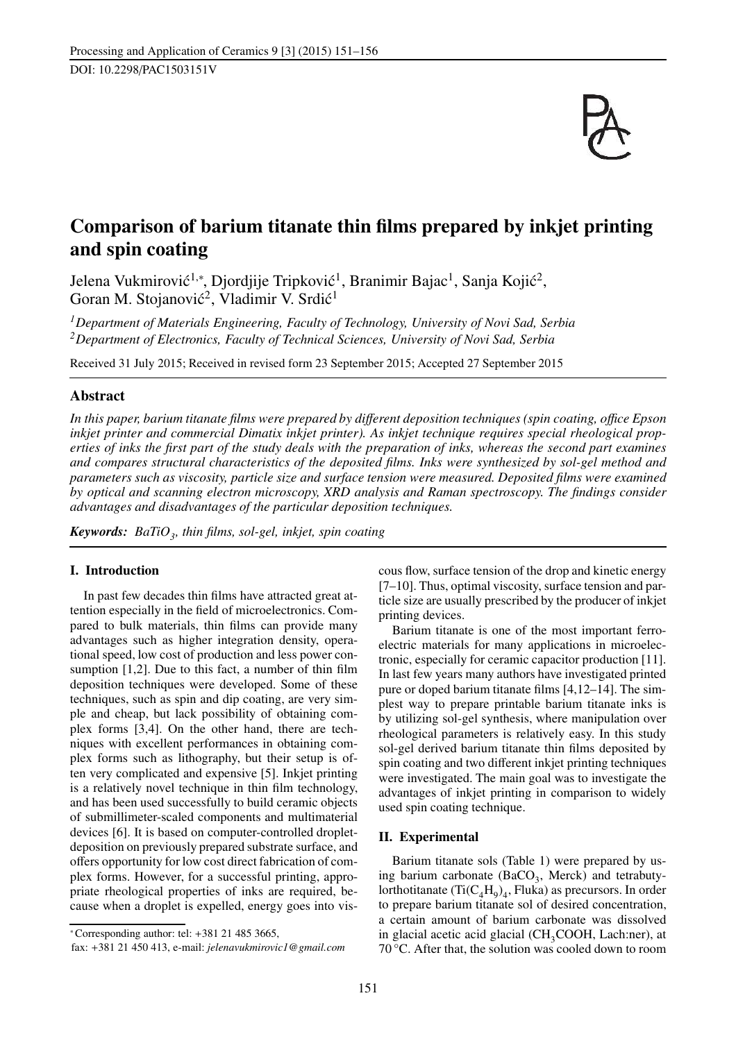

# Comparison of barium titanate thin films prepared by inkjet printing and spin coating

Jelena Vukmirović<sup>1,∗</sup>, Djordjije Tripković<sup>1</sup>, Branimir Bajac<sup>1</sup>, Sanja Kojić<sup>2</sup>, Goran M. Stojanović<sup>2</sup>, Vladimir V. Srdić<sup>1</sup>

*<sup>1</sup>Department of Materials Engineering, Faculty of Technology, University of Novi Sad, Serbia <sup>2</sup>Department of Electronics, Faculty of Technical Sciences, University of Novi Sad, Serbia*

Received 31 July 2015; Received in revised form 23 September 2015; Accepted 27 September 2015

# Abstract

*In this paper, barium titanate films were prepared by di*ff*erent deposition techniques (spin coating, o*ffi*ce Epson inkjet printer and commercial Dimatix inkjet printer). As inkjet technique requires special rheological properties of inks the first part of the study deals with the preparation of inks, whereas the second part examines and compares structural characteristics of the deposited films. Inks were synthesized by sol-gel method and parameters such as viscosity, particle size and surface tension were measured. Deposited films were examined by optical and scanning electron microscopy, XRD analysis and Raman spectroscopy. The findings consider advantages and disadvantages of the particular deposition techniques.*

*Keywords: BaTiO<sup>3</sup> , thin films, sol-gel, inkjet, spin coating*

# I. Introduction

In past few decades thin films have attracted great attention especially in the field of microelectronics. Compared to bulk materials, thin films can provide many advantages such as higher integration density, operational speed, low cost of production and less power consumption [1,2]. Due to this fact, a number of thin film deposition techniques were developed. Some of these techniques, such as spin and dip coating, are very simple and cheap, but lack possibility of obtaining complex forms [3,4]. On the other hand, there are techniques with excellent performances in obtaining complex forms such as lithography, but their setup is often very complicated and expensive [5]. Inkjet printing is a relatively novel technique in thin film technology, and has been used successfully to build ceramic objects of submillimeter-scaled components and multimaterial devices [6]. It is based on computer-controlled dropletdeposition on previously prepared substrate surface, and offers opportunity for low cost direct fabrication of complex forms. However, for a successful printing, appropriate rheological properties of inks are required, because when a droplet is expelled, energy goes into vis-

<sup>∗</sup>Corresponding author: tel: +381 21 485 3665,

cous flow, surface tension of the drop and kinetic energy [7–10]. Thus, optimal viscosity, surface tension and particle size are usually prescribed by the producer of inkjet printing devices.

Barium titanate is one of the most important ferroelectric materials for many applications in microelectronic, especially for ceramic capacitor production [11]. In last few years many authors have investigated printed pure or doped barium titanate films [4,12–14]. The simplest way to prepare printable barium titanate inks is by utilizing sol-gel synthesis, where manipulation over rheological parameters is relatively easy. In this study sol-gel derived barium titanate thin films deposited by spin coating and two different inkjet printing techniques were investigated. The main goal was to investigate the advantages of inkjet printing in comparison to widely used spin coating technique.

### II. Experimental

Barium titanate sols (Table 1) were prepared by using barium carbonate  $(BaCO<sub>3</sub>,$  Merck) and tetrabutylorthotitanate  $(\text{Ti}(\text{C}_4\text{H}_9)_4, \text{Fluka})$  as precursors. In order to prepare barium titanate sol of desired concentration, a certain amount of barium carbonate was dissolved in glacial acetic acid glacial  $(CH_3COOH, Lach:ner)$ , at 70 °C. After that, the solution was cooled down to room

fax: +381 21 450 413, e-mail: *jelenavukmirovic1@gmail.com*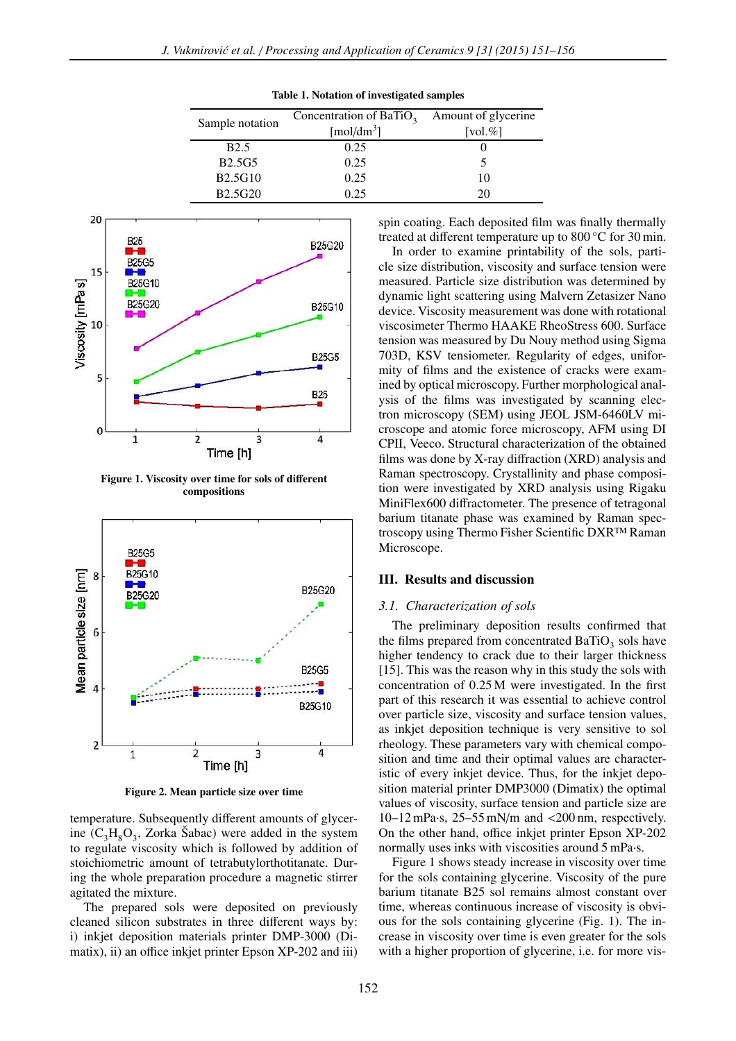| Sample notation | Concentration of BaTiO <sub>3</sub> | Amount of glycerine |
|-----------------|-------------------------------------|---------------------|
|                 | $\lceil \text{mol/dm}^3 \rceil$     | [vol. $\%$ ]        |
| <b>B</b> 2.5    | 0.25                                |                     |
| <b>B2.5G5</b>   | 0.25                                |                     |
| <b>B2.5G10</b>  | 0.25                                | 10                  |
| <b>B2.5G20</b>  | 0.25                                | 20                  |

Table 1. Notation of investigated samples



Figure 1. Viscosity over time for sols of different compositions



Figure 2. Mean particle size over time

temperature. Subsequently different amounts of glycerine  $(C_3H_8O_3, Zorka \t\text{Šabac})$  were added in the system to regulate viscosity which is followed by addition of stoichiometric amount of tetrabutylorthotitanate. During the whole preparation procedure a magnetic stirrer agitated the mixture.

The prepared sols were deposited on previously cleaned silicon substrates in three different ways by: i) inkjet deposition materials printer DMP-3000 (Dimatix), ii) an office inkjet printer Epson XP-202 and iii) spin coating. Each deposited film was finally thermally treated at different temperature up to 800 °C for 30 min.

In order to examine printability of the sols, particle size distribution, viscosity and surface tension were measured. Particle size distribution was determined by dynamic light scattering using Malvern Zetasizer Nano device. Viscosity measurement was done with rotational viscosimeter Thermo HAAKE RheoStress 600. Surface tension was measured by Du Nouy method using Sigma 703D, KSV tensiometer. Regularity of edges, uniformity of films and the existence of cracks were examined by optical microscopy. Further morphological analysis of the films was investigated by scanning electron microscopy (SEM) using JEOL JSM-6460LV microscope and atomic force microscopy, AFM using DI CPII, Veeco. Structural characterization of the obtained films was done by X-ray diffraction (XRD) analysis and Raman spectroscopy. Crystallinity and phase composition were investigated by XRD analysis using Rigaku MiniFlex600 diffractometer. The presence of tetragonal barium titanate phase was examined by Raman spectroscopy using Thermo Fisher Scientific DXR™ Raman Microscope.

### III. Results and discussion

#### *3.1. Characterization of sols*

The preliminary deposition results confirmed that the films prepared from concentrated  $BaTiO<sub>3</sub>$  sols have higher tendency to crack due to their larger thickness [15]. This was the reason why in this study the sols with concentration of 0.25 M were investigated. In the first part of this research it was essential to achieve control over particle size, viscosity and surface tension values, as inkjet deposition technique is very sensitive to sol rheology. These parameters vary with chemical composition and time and their optimal values are characteristic of every inkjet device. Thus, for the inkjet deposition material printer DMP3000 (Dimatix) the optimal values of viscosity, surface tension and particle size are 10–12 mPa·s, 25–55 mN/m and <200 nm, respectively. On the other hand, office inkjet printer Epson XP-202 normally uses inks with viscosities around 5 mPa·s.

Figure 1 shows steady increase in viscosity over time for the sols containing glycerine. Viscosity of the pure barium titanate B25 sol remains almost constant over time, whereas continuous increase of viscosity is obvious for the sols containing glycerine (Fig. 1). The increase in viscosity over time is even greater for the sols with a higher proportion of glycerine, i.e. for more vis-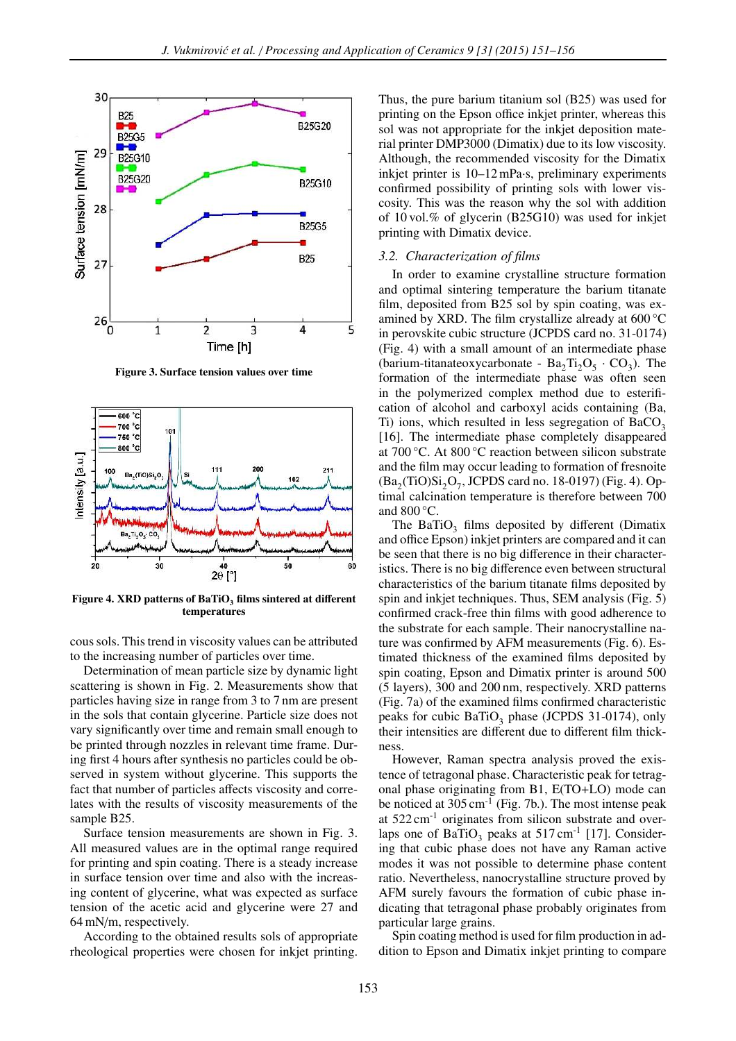

Figure 3. Surface tension values over time



Figure 4. XRD patterns of BaTiO<sub>3</sub> films sintered at different temperatures

cous sols. This trend in viscosity values can be attributed to the increasing number of particles over time.

Determination of mean particle size by dynamic light scattering is shown in Fig. 2. Measurements show that particles having size in range from 3 to 7 nm are present in the sols that contain glycerine. Particle size does not vary significantly over time and remain small enough to be printed through nozzles in relevant time frame. During first 4 hours after synthesis no particles could be observed in system without glycerine. This supports the fact that number of particles affects viscosity and correlates with the results of viscosity measurements of the sample B25.

Surface tension measurements are shown in Fig. 3. All measured values are in the optimal range required for printing and spin coating. There is a steady increase in surface tension over time and also with the increasing content of glycerine, what was expected as surface tension of the acetic acid and glycerine were 27 and 64 mN/m, respectively.

According to the obtained results sols of appropriate rheological properties were chosen for inkjet printing.

Thus, the pure barium titanium sol (B25) was used for printing on the Epson office inkjet printer, whereas this sol was not appropriate for the inkjet deposition material printer DMP3000 (Dimatix) due to its low viscosity. Although, the recommended viscosity for the Dimatix inkjet printer is 10–12 mPa·s, preliminary experiments confirmed possibility of printing sols with lower viscosity. This was the reason why the sol with addition of 10 vol.% of glycerin (B25G10) was used for inkjet printing with Dimatix device.

#### *3.2. Characterization of films*

In order to examine crystalline structure formation and optimal sintering temperature the barium titanate film, deposited from B25 sol by spin coating, was examined by XRD. The film crystallize already at 600 °C in perovskite cubic structure (JCPDS card no. 31-0174) (Fig. 4) with a small amount of an intermediate phase (barium-titanateoxycarbonate -  $Ba_2Ti_2O_5 \cdot CO_3$ ). The formation of the intermediate phase was often seen in the polymerized complex method due to esterification of alcohol and carboxyl acids containing (Ba, Ti) ions, which resulted in less segregation of  $BaCO<sub>3</sub>$ [16]. The intermediate phase completely disappeared at 700 °C. At 800 °C reaction between silicon substrate and the film may occur leading to formation of fresnoite  $(Ba_2(TiO)Si_2O_7, JCPDS$  card no. 18-0197) (Fig. 4). Optimal calcination temperature is therefore between 700 and  $800^{\circ}$ C.

The BaTiO<sub>3</sub> films deposited by different (Dimatix and office Epson) inkjet printers are compared and it can be seen that there is no big difference in their characteristics. There is no big difference even between structural characteristics of the barium titanate films deposited by spin and inkjet techniques. Thus, SEM analysis (Fig. 5) confirmed crack-free thin films with good adherence to the substrate for each sample. Their nanocrystalline nature was confirmed by AFM measurements (Fig. 6). Estimated thickness of the examined films deposited by spin coating, Epson and Dimatix printer is around 500 (5 layers), 300 and 200 nm, respectively. XRD patterns (Fig. 7a) of the examined films confirmed characteristic peaks for cubic BaTiO<sub>3</sub> phase (JCPDS 31-0174), only their intensities are different due to different film thickness.

However, Raman spectra analysis proved the existence of tetragonal phase. Characteristic peak for tetragonal phase originating from B1, E(TO+LO) mode can be noticed at  $305 \text{ cm}^{-1}$  (Fig. 7b.). The most intense peak at  $522 \text{ cm}^{-1}$  originates from silicon substrate and overlaps one of  $BaTiO<sub>3</sub>$  peaks at 517 cm<sup>-1</sup> [17]. Considering that cubic phase does not have any Raman active modes it was not possible to determine phase content ratio. Nevertheless, nanocrystalline structure proved by AFM surely favours the formation of cubic phase indicating that tetragonal phase probably originates from particular large grains.

Spin coating method is used for film production in addition to Epson and Dimatix inkjet printing to compare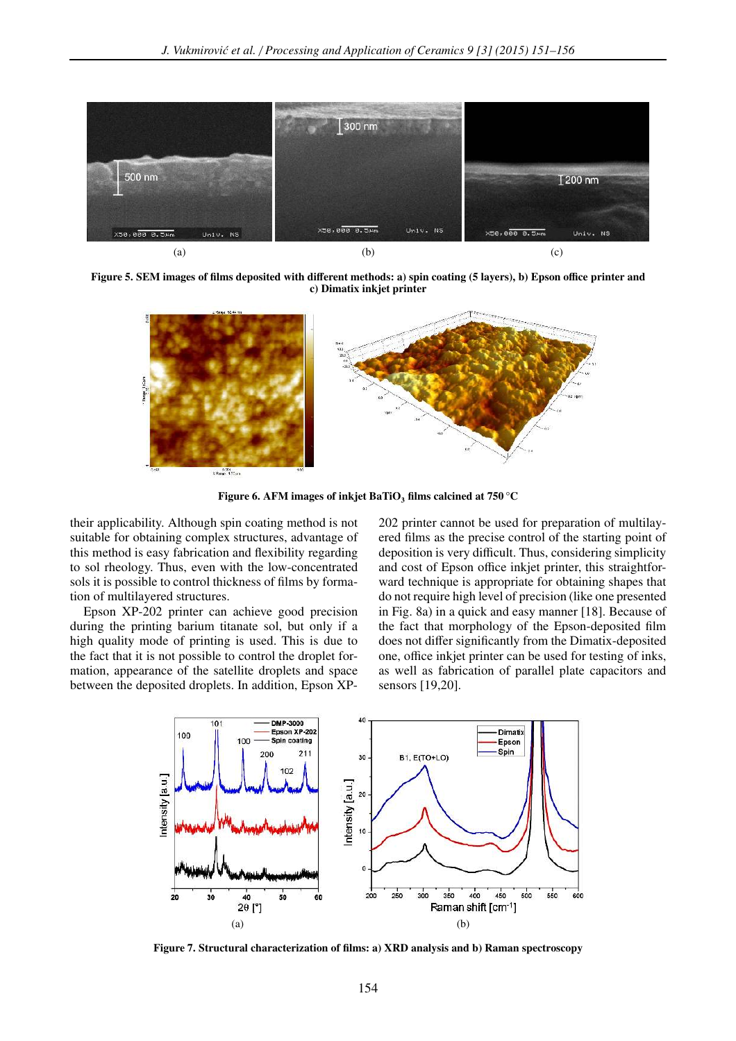

Figure 5. SEM images of films deposited with different methods: a) spin coating (5 layers), b) Epson office printer and c) Dimatix inkjet printer



Figure 6. AFM images of inkjet BaTiO<sub>3</sub> films calcined at  $750^{\circ}$ C

their applicability. Although spin coating method is not suitable for obtaining complex structures, advantage of this method is easy fabrication and flexibility regarding to sol rheology. Thus, even with the low-concentrated sols it is possible to control thickness of films by formation of multilayered structures.

Epson XP-202 printer can achieve good precision during the printing barium titanate sol, but only if a high quality mode of printing is used. This is due to the fact that it is not possible to control the droplet formation, appearance of the satellite droplets and space between the deposited droplets. In addition, Epson XP- 202 printer cannot be used for preparation of multilayered films as the precise control of the starting point of deposition is very difficult. Thus, considering simplicity and cost of Epson office inkjet printer, this straightforward technique is appropriate for obtaining shapes that do not require high level of precision (like one presented in Fig. 8a) in a quick and easy manner [18]. Because of the fact that morphology of the Epson-deposited film does not differ significantly from the Dimatix-deposited one, office inkjet printer can be used for testing of inks, as well as fabrication of parallel plate capacitors and sensors [19,20].



Figure 7. Structural characterization of films: a) XRD analysis and b) Raman spectroscopy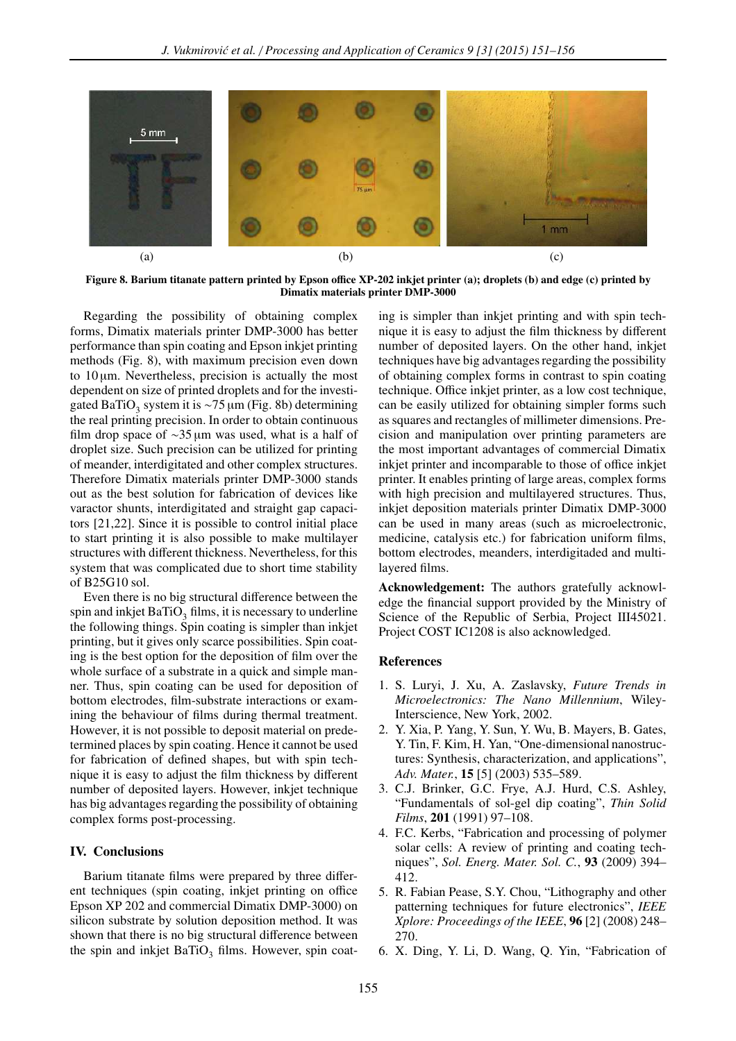

Figure 8. Barium titanate pattern printed by Epson office XP-202 inkjet printer (a); droplets (b) and edge (c) printed by Dimatix materials printer DMP-3000

Regarding the possibility of obtaining complex forms, Dimatix materials printer DMP-3000 has better performance than spin coating and Epson inkjet printing methods (Fig. 8), with maximum precision even down to  $10 \mu m$ . Nevertheless, precision is actually the most dependent on size of printed droplets and for the investigated BaTiO<sub>3</sub> system it is ~75 µm (Fig. 8b) determining the real printing precision. In order to obtain continuous film drop space of ∼35 µm was used, what is a half of droplet size. Such precision can be utilized for printing of meander, interdigitated and other complex structures. Therefore Dimatix materials printer DMP-3000 stands out as the best solution for fabrication of devices like varactor shunts, interdigitated and straight gap capacitors [21,22]. Since it is possible to control initial place to start printing it is also possible to make multilayer structures with different thickness. Nevertheless, for this system that was complicated due to short time stability of B25G10 sol.

Even there is no big structural difference between the spin and inkjet  $\operatorname{BaTiO}_3$  films, it is necessary to underline the following things. Spin coating is simpler than inkjet printing, but it gives only scarce possibilities. Spin coating is the best option for the deposition of film over the whole surface of a substrate in a quick and simple manner. Thus, spin coating can be used for deposition of bottom electrodes, film-substrate interactions or examining the behaviour of films during thermal treatment. However, it is not possible to deposit material on predetermined places by spin coating. Hence it cannot be used for fabrication of defined shapes, but with spin technique it is easy to adjust the film thickness by different number of deposited layers. However, inkjet technique has big advantages regarding the possibility of obtaining complex forms post-processing.

## IV. Conclusions

Barium titanate films were prepared by three different techniques (spin coating, inkjet printing on office Epson XP 202 and commercial Dimatix DMP-3000) on silicon substrate by solution deposition method. It was shown that there is no big structural difference between the spin and inkjet  $BaTiO<sub>3</sub>$  films. However, spin coating is simpler than inkjet printing and with spin technique it is easy to adjust the film thickness by different number of deposited layers. On the other hand, inkjet techniques have big advantages regarding the possibility of obtaining complex forms in contrast to spin coating technique. Office inkjet printer, as a low cost technique, can be easily utilized for obtaining simpler forms such as squares and rectangles of millimeter dimensions. Precision and manipulation over printing parameters are the most important advantages of commercial Dimatix inkjet printer and incomparable to those of office inkjet printer. It enables printing of large areas, complex forms with high precision and multilayered structures. Thus, inkjet deposition materials printer Dimatix DMP-3000 can be used in many areas (such as microelectronic, medicine, catalysis etc.) for fabrication uniform films, bottom electrodes, meanders, interdigitaded and multilayered films.

Acknowledgement: The authors gratefully acknowledge the financial support provided by the Ministry of Science of the Republic of Serbia, Project III45021. Project COST IC1208 is also acknowledged.

#### References

- 1. S. Luryi, J. Xu, A. Zaslavsky, *Future Trends in Microelectronics: The Nano Millennium*, Wiley-Interscience, New York, 2002.
- 2. Y. Xia, P. Yang, Y. Sun, Y. Wu, B. Mayers, B. Gates, Y. Tin, F. Kim, H. Yan, "One-dimensional nanostructures: Synthesis, characterization, and applications", *Adv. Mater.*, 15 [5] (2003) 535–589.
- 3. C.J. Brinker, G.C. Frye, A.J. Hurd, C.S. Ashley, "Fundamentals of sol-gel dip coating", *Thin Solid Films*, 201 (1991) 97–108.
- 4. F.C. Kerbs, "Fabrication and processing of polymer solar cells: A review of printing and coating techniques", *Sol. Energ. Mater. Sol. C.*, 93 (2009) 394– 412.
- 5. R. Fabian Pease, S.Y. Chou, "Lithography and other patterning techniques for future electronics", *IEEE Xplore: Proceedings of the IEEE*, 96 [2] (2008) 248– 270.
- 6. X. Ding, Y. Li, D. Wang, Q. Yin, "Fabrication of